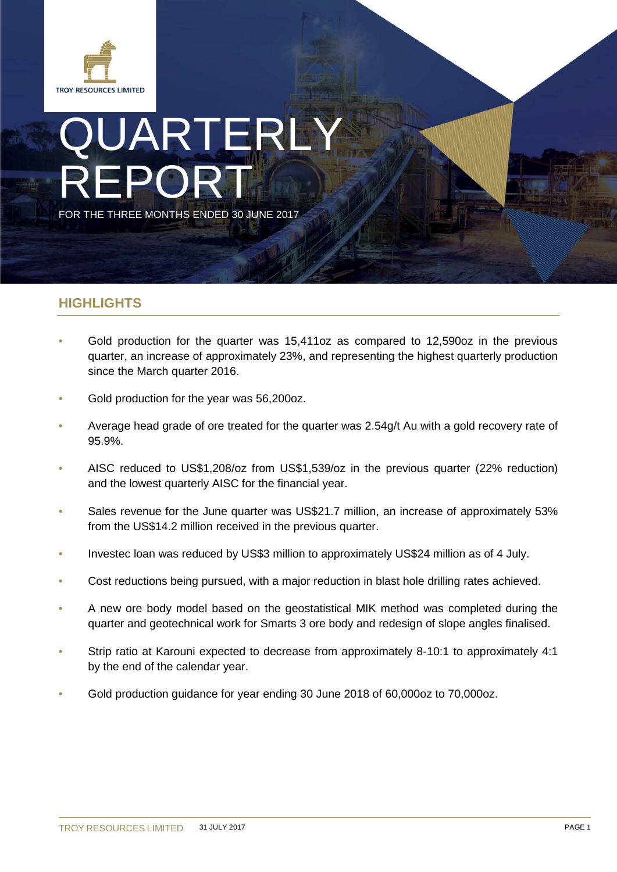

# JARTERLY REPORT FOR THE THREE MONTHS ENDED 30 JUNE 2017

## **HIGHLIGHTS**

- Gold production for the quarter was 15,411oz as compared to 12,590oz in the previous quarter, an increase of approximately 23%, and representing the highest quarterly production since the March quarter 2016.
- Gold production for the year was 56,200oz.
- Average head grade of ore treated for the quarter was 2.54g/t Au with a gold recovery rate of 95.9%.
- AISC reduced to US\$1,208/oz from US\$1,539/oz in the previous quarter (22% reduction) and the lowest quarterly AISC for the financial year.
- Sales revenue for the June quarter was US\$21.7 million, an increase of approximately 53% from the US\$14.2 million received in the previous quarter.
- Investec loan was reduced by US\$3 million to approximately US\$24 million as of 4 July.
- Cost reductions being pursued, with a major reduction in blast hole drilling rates achieved.
- A new ore body model based on the geostatistical MIK method was completed during the quarter and geotechnical work for Smarts 3 ore body and redesign of slope angles finalised.
- Strip ratio at Karouni expected to decrease from approximately 8-10:1 to approximately 4:1 by the end of the calendar year.
- Gold production guidance for year ending 30 June 2018 of 60,000oz to 70,000oz.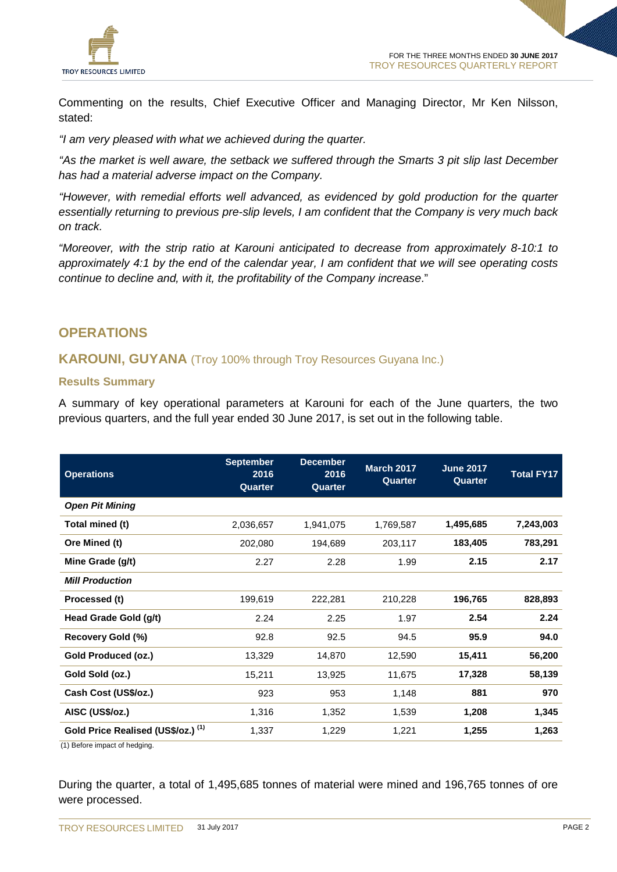

Commenting on the results, Chief Executive Officer and Managing Director, Mr Ken Nilsson, stated:

*"I am very pleased with what we achieved during the quarter.*

*"As the market is well aware, the setback we suffered through the Smarts 3 pit slip last December has had a material adverse impact on the Company.*

*"However, with remedial efforts well advanced, as evidenced by gold production for the quarter essentially returning to previous pre-slip levels, I am confident that the Company is very much back on track.* 

*"Moreover, with the strip ratio at Karouni anticipated to decrease from approximately 8-10:1 to approximately 4:1 by the end of the calendar year, I am confident that we will see operating costs continue to decline and, with it, the profitability of the Company increase*."

## **OPERATIONS**

## **KAROUNI, GUYANA** (Troy 100% through Troy Resources Guyana Inc.)

#### **Results Summary**

A summary of key operational parameters at Karouni for each of the June quarters, the two previous quarters, and the full year ended 30 June 2017, is set out in the following table.

| <b>Operations</b>                  | <b>September</b><br>2016<br>Quarter | <b>December</b><br>2016<br>Quarter | <b>March 2017</b><br>Quarter | <b>June 2017</b><br>Quarter | <b>Total FY17</b> |
|------------------------------------|-------------------------------------|------------------------------------|------------------------------|-----------------------------|-------------------|
| <b>Open Pit Mining</b>             |                                     |                                    |                              |                             |                   |
| Total mined (t)                    | 2,036,657                           | 1,941,075                          | 1,769,587                    | 1,495,685                   | 7,243,003         |
| Ore Mined (t)                      | 202,080                             | 194,689                            | 203,117                      | 183,405                     | 783,291           |
| Mine Grade (g/t)                   | 2.27                                | 2.28                               | 1.99                         | 2.15                        | 2.17              |
| <b>Mill Production</b>             |                                     |                                    |                              |                             |                   |
| Processed (t)                      | 199,619                             | 222,281                            | 210,228                      | 196,765                     | 828,893           |
| Head Grade Gold (g/t)              | 2.24                                | 2.25                               | 1.97                         | 2.54                        | 2.24              |
| Recovery Gold (%)                  | 92.8                                | 92.5                               | 94.5                         | 95.9                        | 94.0              |
| Gold Produced (oz.)                | 13,329                              | 14,870                             | 12,590                       | 15,411                      | 56,200            |
| Gold Sold (oz.)                    | 15,211                              | 13,925                             | 11,675                       | 17,328                      | 58,139            |
| Cash Cost (US\$/oz.)               | 923                                 | 953                                | 1,148                        | 881                         | 970               |
| AISC (US\$/oz.)                    | 1,316                               | 1,352                              | 1,539                        | 1,208                       | 1,345             |
| Gold Price Realised (US\$/oz.) (1) | 1,337                               | 1,229                              | 1,221                        | 1,255                       | 1,263             |

(1) Before impact of hedging.

During the quarter, a total of 1,495,685 tonnes of material were mined and 196,765 tonnes of ore were processed.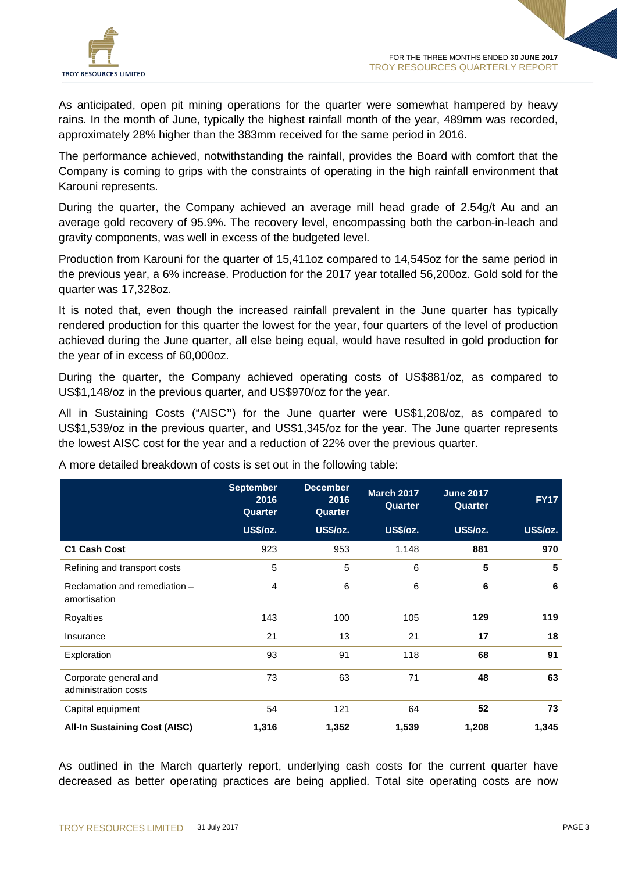

As anticipated, open pit mining operations for the quarter were somewhat hampered by heavy rains. In the month of June, typically the highest rainfall month of the year, 489mm was recorded, approximately 28% higher than the 383mm received for the same period in 2016.

The performance achieved, notwithstanding the rainfall, provides the Board with comfort that the Company is coming to grips with the constraints of operating in the high rainfall environment that Karouni represents.

During the quarter, the Company achieved an average mill head grade of 2.54g/t Au and an average gold recovery of 95.9%. The recovery level, encompassing both the carbon-in-leach and gravity components, was well in excess of the budgeted level.

Production from Karouni for the quarter of 15,411oz compared to 14,545oz for the same period in the previous year, a 6% increase. Production for the 2017 year totalled 56,200oz. Gold sold for the quarter was 17,328oz.

It is noted that, even though the increased rainfall prevalent in the June quarter has typically rendered production for this quarter the lowest for the year, four quarters of the level of production achieved during the June quarter, all else being equal, would have resulted in gold production for the year of in excess of 60,000oz.

During the quarter, the Company achieved operating costs of US\$881/oz, as compared to US\$1,148/oz in the previous quarter, and US\$970/oz for the year.

All in Sustaining Costs ("AISC**"**) for the June quarter were US\$1,208/oz, as compared to US\$1,539/oz in the previous quarter, and US\$1,345/oz for the year. The June quarter represents the lowest AISC cost for the year and a reduction of 22% over the previous quarter.

|                                               | <b>September</b><br>2016<br>Quarter | <b>December</b><br>2016<br>Quarter | <b>March 2017</b><br>Quarter | <b>June 2017</b><br>Quarter | <b>FY17</b>     |
|-----------------------------------------------|-------------------------------------|------------------------------------|------------------------------|-----------------------------|-----------------|
|                                               | <b>US\$/oz.</b>                     | <b>US\$/oz.</b>                    | <b>US\$/oz.</b>              | <b>US\$/oz.</b>             | <b>US\$/oz.</b> |
| <b>C1 Cash Cost</b>                           | 923                                 | 953                                | 1,148                        | 881                         | 970             |
| Refining and transport costs                  | 5                                   | 5                                  | 6                            | 5                           | 5               |
| Reclamation and remediation -<br>amortisation | $\overline{4}$                      | 6                                  | 6                            | 6                           | 6               |
| <b>Royalties</b>                              | 143                                 | 100                                | 105                          | 129                         | 119             |
| Insurance                                     | 21                                  | 13                                 | 21                           | 17                          | 18              |
| Exploration                                   | 93                                  | 91                                 | 118                          | 68                          | 91              |
| Corporate general and<br>administration costs | 73                                  | 63                                 | 71                           | 48                          | 63              |
| Capital equipment                             | 54                                  | 121                                | 64                           | 52                          | 73              |
| <b>All-In Sustaining Cost (AISC)</b>          | 1,316                               | 1,352                              | 1,539                        | 1,208                       | 1,345           |

A more detailed breakdown of costs is set out in the following table:

As outlined in the March quarterly report, underlying cash costs for the current quarter have decreased as better operating practices are being applied. Total site operating costs are now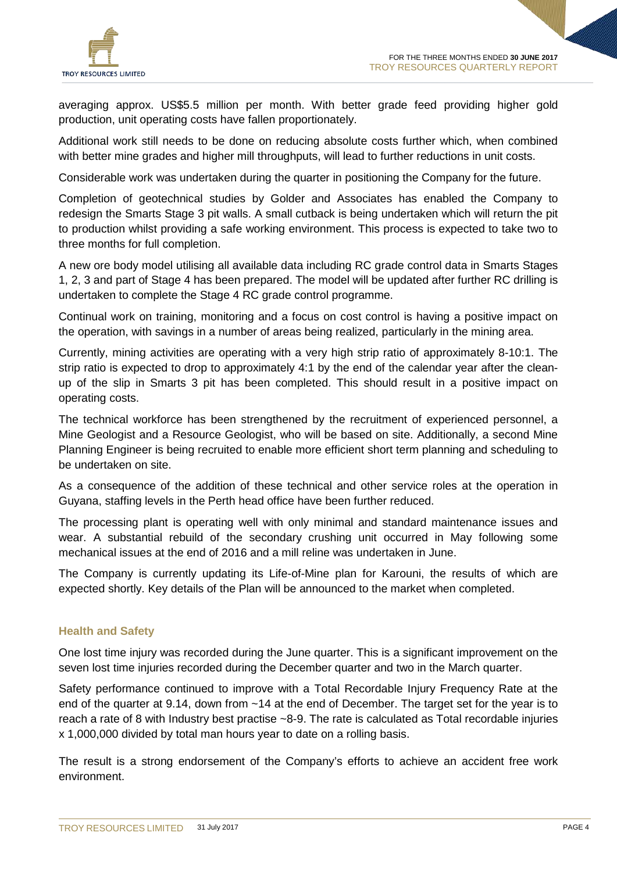

averaging approx. US\$5.5 million per month. With better grade feed providing higher gold production, unit operating costs have fallen proportionately.

Additional work still needs to be done on reducing absolute costs further which, when combined with better mine grades and higher mill throughputs, will lead to further reductions in unit costs.

Considerable work was undertaken during the quarter in positioning the Company for the future.

Completion of geotechnical studies by Golder and Associates has enabled the Company to redesign the Smarts Stage 3 pit walls. A small cutback is being undertaken which will return the pit to production whilst providing a safe working environment. This process is expected to take two to three months for full completion.

A new ore body model utilising all available data including RC grade control data in Smarts Stages 1, 2, 3 and part of Stage 4 has been prepared. The model will be updated after further RC drilling is undertaken to complete the Stage 4 RC grade control programme.

Continual work on training, monitoring and a focus on cost control is having a positive impact on the operation, with savings in a number of areas being realized, particularly in the mining area.

Currently, mining activities are operating with a very high strip ratio of approximately 8-10:1. The strip ratio is expected to drop to approximately 4:1 by the end of the calendar year after the cleanup of the slip in Smarts 3 pit has been completed. This should result in a positive impact on operating costs.

The technical workforce has been strengthened by the recruitment of experienced personnel, a Mine Geologist and a Resource Geologist, who will be based on site. Additionally, a second Mine Planning Engineer is being recruited to enable more efficient short term planning and scheduling to be undertaken on site.

As a consequence of the addition of these technical and other service roles at the operation in Guyana, staffing levels in the Perth head office have been further reduced.

The processing plant is operating well with only minimal and standard maintenance issues and wear. A substantial rebuild of the secondary crushing unit occurred in May following some mechanical issues at the end of 2016 and a mill reline was undertaken in June.

The Company is currently updating its Life-of-Mine plan for Karouni, the results of which are expected shortly. Key details of the Plan will be announced to the market when completed.

## **Health and Safety**

One lost time injury was recorded during the June quarter. This is a significant improvement on the seven lost time injuries recorded during the December quarter and two in the March quarter.

Safety performance continued to improve with a Total Recordable Injury Frequency Rate at the end of the quarter at 9.14, down from ~14 at the end of December. The target set for the year is to reach a rate of 8 with Industry best practise ~8-9. The rate is calculated as Total recordable injuries x 1,000,000 divided by total man hours year to date on a rolling basis.

The result is a strong endorsement of the Company's efforts to achieve an accident free work environment.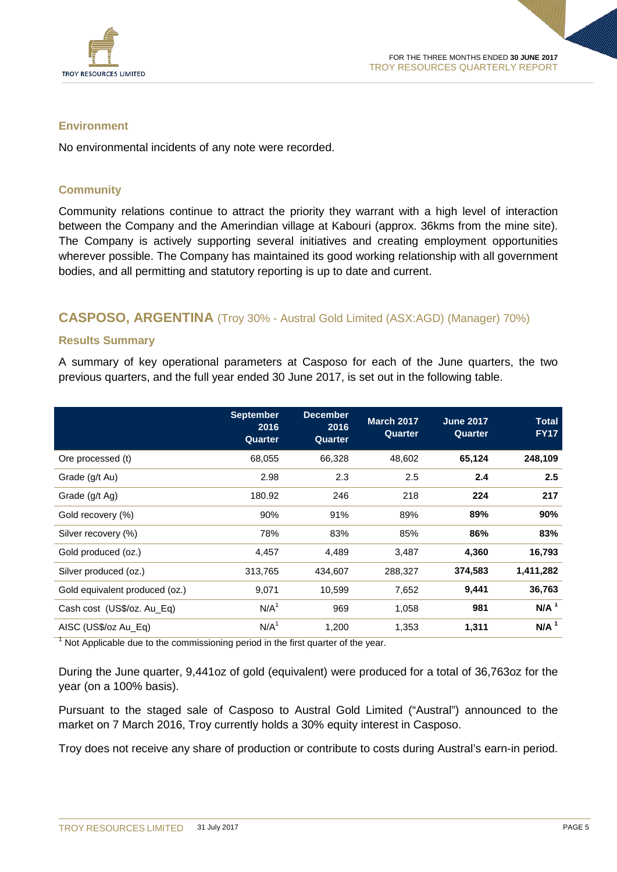

## **Environment**

No environmental incidents of any note were recorded.

## **Community**

Community relations continue to attract the priority they warrant with a high level of interaction between the Company and the Amerindian village at Kabouri (approx. 36kms from the mine site). The Company is actively supporting several initiatives and creating employment opportunities wherever possible. The Company has maintained its good working relationship with all government bodies, and all permitting and statutory reporting is up to date and current.

## **CASPOSO, ARGENTINA** (Troy 30% - Austral Gold Limited (ASX:AGD) (Manager) 70%)

#### **Results Summary**

A summary of key operational parameters at Casposo for each of the June quarters, the two previous quarters, and the full year ended 30 June 2017, is set out in the following table.

|                                | <b>September</b><br>2016<br>Quarter | <b>December</b><br>2016<br>Quarter | <b>March 2017</b><br>Quarter | <b>June 2017</b><br>Quarter | <b>Total</b><br><b>FY17</b> |
|--------------------------------|-------------------------------------|------------------------------------|------------------------------|-----------------------------|-----------------------------|
| Ore processed (t)              | 68,055                              | 66,328                             | 48,602                       | 65,124                      | 248,109                     |
| Grade (g/t Au)                 | 2.98                                | 2.3                                | 2.5                          | 2.4                         | 2.5                         |
| Grade (g/t Ag)                 | 180.92                              | 246                                | 218                          | 224                         | 217                         |
| Gold recovery (%)              | 90%                                 | 91%                                | 89%                          | 89%                         | 90%                         |
| Silver recovery (%)            | 78%                                 | 83%                                | 85%                          | 86%                         | 83%                         |
| Gold produced (oz.)            | 4,457                               | 4,489                              | 3,487                        | 4,360                       | 16,793                      |
| Silver produced (oz.)          | 313,765                             | 434,607                            | 288,327                      | 374,583                     | 1,411,282                   |
| Gold equivalent produced (oz.) | 9,071                               | 10,599                             | 7,652                        | 9,441                       | 36,763                      |
| Cash cost (US\$/oz. Au_Eq)     | N/A <sup>1</sup>                    | 969                                | 1,058                        | 981                         | $N/A$ <sup>1</sup>          |
| AISC (US\$/oz Au Eq)           | N/A <sup>1</sup>                    | 1,200                              | 1,353                        | 1,311                       | $N/A$ <sup>1</sup>          |

 $1$  Not Applicable due to the commissioning period in the first quarter of the year.

During the June quarter, 9,441oz of gold (equivalent) were produced for a total of 36,763oz for the year (on a 100% basis).

Pursuant to the staged sale of Casposo to Austral Gold Limited ("Austral") announced to the market on 7 March 2016, Troy currently holds a 30% equity interest in Casposo.

Troy does not receive any share of production or contribute to costs during Austral's earn-in period.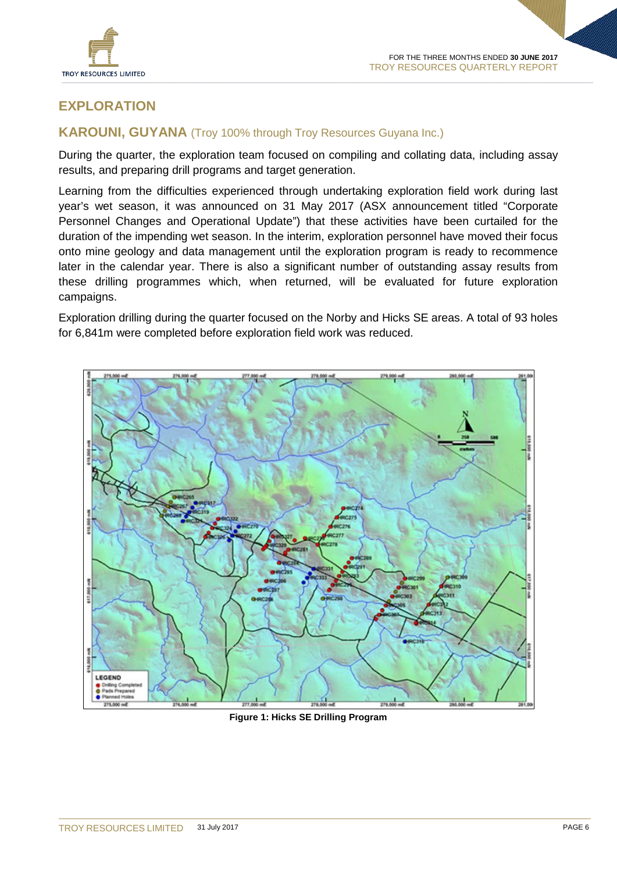

## **EXPLORATION**

## **KAROUNI, GUYANA** (Troy 100% through Troy Resources Guyana Inc.)

During the quarter, the exploration team focused on compiling and collating data, including assay results, and preparing drill programs and target generation.

Learning from the difficulties experienced through undertaking exploration field work during last year's wet season, it was announced on 31 May 2017 (ASX announcement titled "Corporate Personnel Changes and Operational Update") that these activities have been curtailed for the duration of the impending wet season. In the interim, exploration personnel have moved their focus onto mine geology and data management until the exploration program is ready to recommence later in the calendar year. There is also a significant number of outstanding assay results from these drilling programmes which, when returned, will be evaluated for future exploration campaigns.

Exploration drilling during the quarter focused on the Norby and Hicks SE areas. A total of 93 holes for 6,841m were completed before exploration field work was reduced.



**Figure 1: Hicks SE Drilling Program**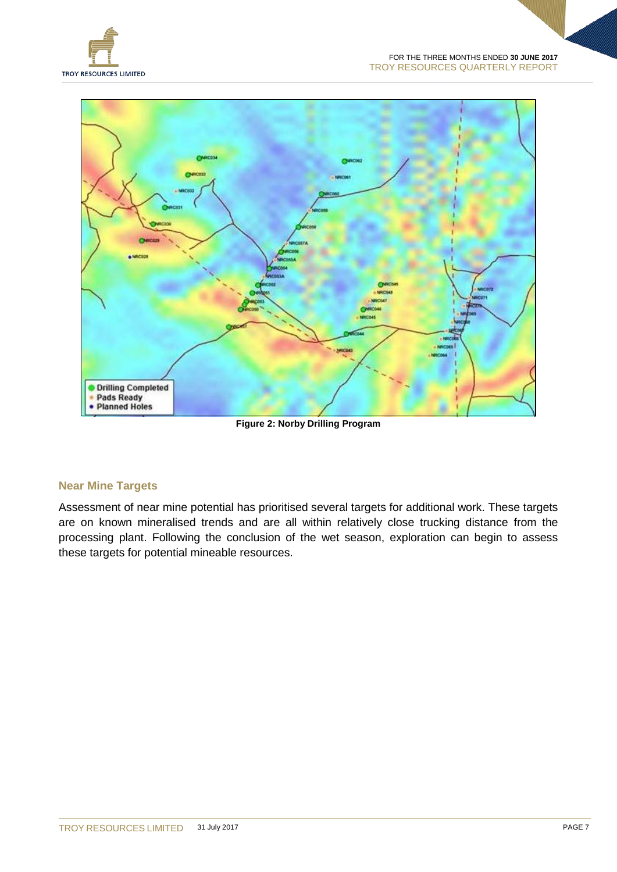



**Figure 2: Norby Drilling Program**

## **Near Mine Targets**

Assessment of near mine potential has prioritised several targets for additional work. These targets are on known mineralised trends and are all within relatively close trucking distance from the processing plant. Following the conclusion of the wet season, exploration can begin to assess these targets for potential mineable resources.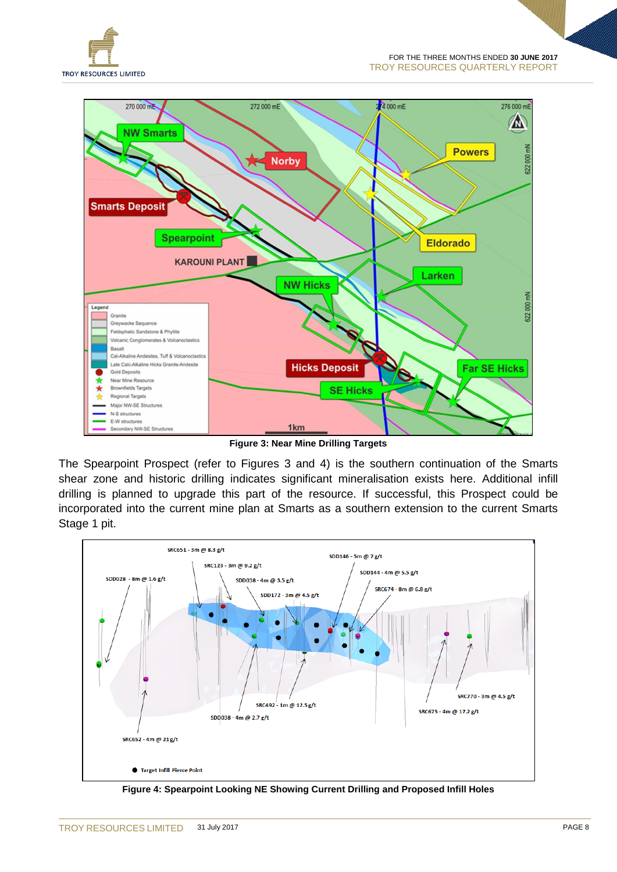



**Figure 3: Near Mine Drilling Targets**

The Spearpoint Prospect (refer to Figures 3 and 4) is the southern continuation of the Smarts shear zone and historic drilling indicates significant mineralisation exists here. Additional infill drilling is planned to upgrade this part of the resource. If successful, this Prospect could be incorporated into the current mine plan at Smarts as a southern extension to the current Smarts Stage 1 pit.



**Figure 4: Spearpoint Looking NE Showing Current Drilling and Proposed Infill Holes**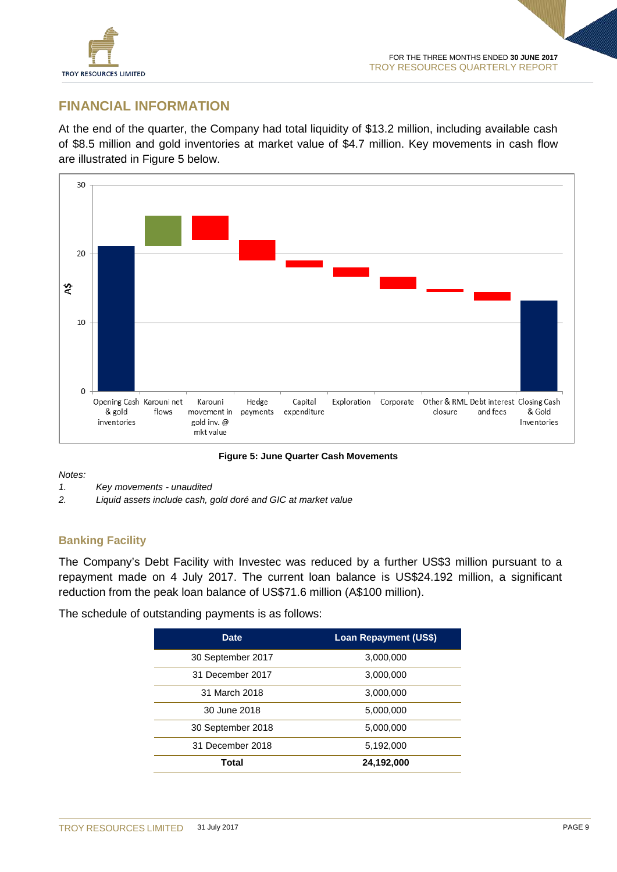

## **FINANCIAL INFORMATION**

At the end of the quarter, the Company had total liquidity of \$13.2 million, including available cash of \$8.5 million and gold inventories at market value of \$4.7 million. Key movements in cash flow are illustrated in Figure 5 below.



**Figure 5: June Quarter Cash Movements**

*Notes:*

- *1. Key movements - unaudited*
- *2. Liquid assets include cash, gold doré and GIC at market value*

## **Banking Facility**

The Company's Debt Facility with Investec was reduced by a further US\$3 million pursuant to a repayment made on 4 July 2017. The current loan balance is US\$24.192 million, a significant reduction from the peak loan balance of US\$71.6 million (A\$100 million).

The schedule of outstanding payments is as follows:

| <b>Date</b>       | <b>Loan Repayment (US\$)</b> |  |  |
|-------------------|------------------------------|--|--|
| 30 September 2017 | 3,000,000                    |  |  |
| 31 December 2017  | 3,000,000                    |  |  |
| 31 March 2018     | 3,000,000                    |  |  |
| 30 June 2018      | 5,000,000                    |  |  |
| 30 September 2018 | 5,000,000                    |  |  |
| 31 December 2018  | 5,192,000                    |  |  |
| Total             | 24,192,000                   |  |  |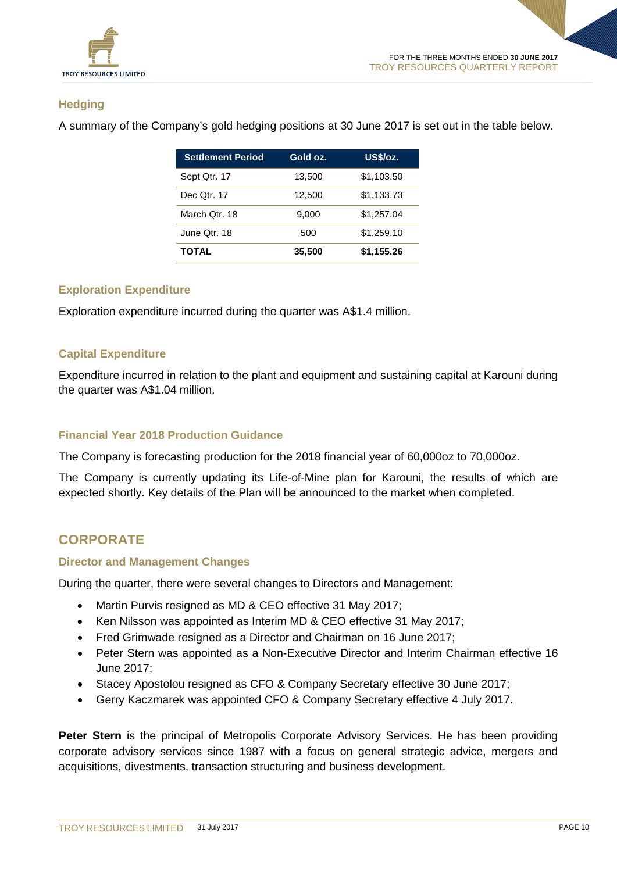

## **Hedging**

A summary of the Company's gold hedging positions at 30 June 2017 is set out in the table below.

| <b>Settlement Period</b> | Gold oz. | US\$/oz.   |
|--------------------------|----------|------------|
| Sept Qtr. 17             | 13,500   | \$1,103.50 |
| Dec Qtr. 17              | 12,500   | \$1,133.73 |
| March Otr. 18            | 9.000    | \$1,257.04 |
| June Otr. 18             | 500      | \$1,259.10 |
| <b>TOTAL</b>             | 35,500   | \$1,155.26 |

## **Exploration Expenditure**

Exploration expenditure incurred during the quarter was A\$1.4 million.

#### **Capital Expenditure**

Expenditure incurred in relation to the plant and equipment and sustaining capital at Karouni during the quarter was A\$1.04 million.

#### **Financial Year 2018 Production Guidance**

The Company is forecasting production for the 2018 financial year of 60,000oz to 70,000oz.

The Company is currently updating its Life-of-Mine plan for Karouni, the results of which are expected shortly. Key details of the Plan will be announced to the market when completed.

## **CORPORATE**

#### **Director and Management Changes**

During the quarter, there were several changes to Directors and Management:

- Martin Purvis resigned as MD & CEO effective 31 May 2017;
- Ken Nilsson was appointed as Interim MD & CEO effective 31 May 2017;
- Fred Grimwade resigned as a Director and Chairman on 16 June 2017;
- Peter Stern was appointed as a Non-Executive Director and Interim Chairman effective 16 June 2017;
- Stacey Apostolou resigned as CFO & Company Secretary effective 30 June 2017;
- Gerry Kaczmarek was appointed CFO & Company Secretary effective 4 July 2017.

Peter Stern is the principal of Metropolis Corporate Advisory Services. He has been providing corporate advisory services since 1987 with a focus on general strategic advice, mergers and acquisitions, divestments, transaction structuring and business development.